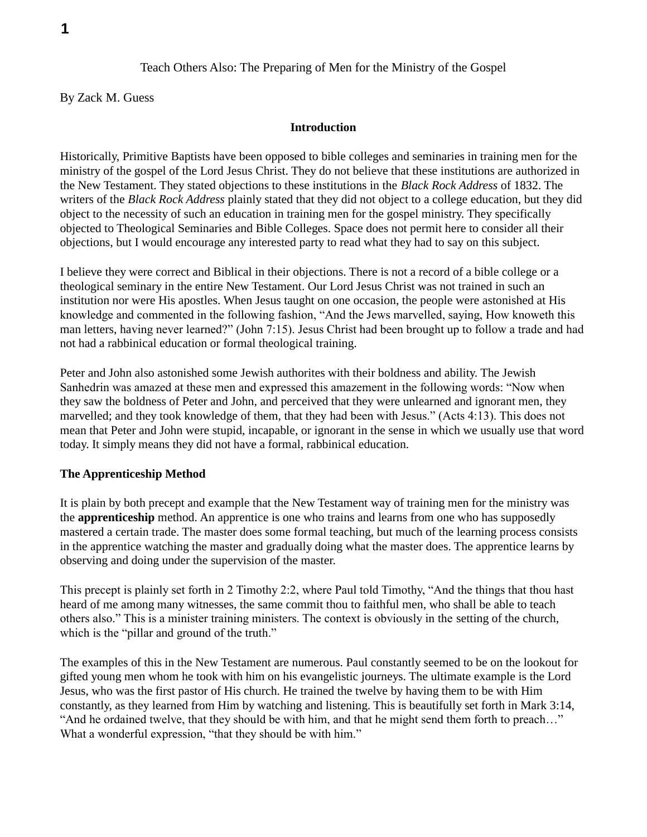# Teach Others Also: The Preparing of Men for the Ministry of the Gospel

By Zack M. Guess

#### **Introduction**

Historically, Primitive Baptists have been opposed to bible colleges and seminaries in training men for the ministry of the gospel of the Lord Jesus Christ. They do not believe that these institutions are authorized in the New Testament. They stated objections to these institutions in the *Black Rock Address* of 1832. The writers of the *Black Rock Address* plainly stated that they did not object to a college education, but they did object to the necessity of such an education in training men for the gospel ministry. They specifically objected to Theological Seminaries and Bible Colleges. Space does not permit here to consider all their objections, but I would encourage any interested party to read what they had to say on this subject.

I believe they were correct and Biblical in their objections. There is not a record of a bible college or a theological seminary in the entire New Testament. Our Lord Jesus Christ was not trained in such an institution nor were His apostles. When Jesus taught on one occasion, the people were astonished at His knowledge and commented in the following fashion, "And the Jews marvelled, saying, How knoweth this man letters, having never learned?" (John 7:15). Jesus Christ had been brought up to follow a trade and had not had a rabbinical education or formal theological training.

Peter and John also astonished some Jewish authorites with their boldness and ability. The Jewish Sanhedrin was amazed at these men and expressed this amazement in the following words: "Now when they saw the boldness of Peter and John, and perceived that they were unlearned and ignorant men, they marvelled; and they took knowledge of them, that they had been with Jesus." (Acts 4:13). This does not mean that Peter and John were stupid, incapable, or ignorant in the sense in which we usually use that word today. It simply means they did not have a formal, rabbinical education.

### **The Apprenticeship Method**

It is plain by both precept and example that the New Testament way of training men for the ministry was the **apprenticeship** method. An apprentice is one who trains and learns from one who has supposedly mastered a certain trade. The master does some formal teaching, but much of the learning process consists in the apprentice watching the master and gradually doing what the master does. The apprentice learns by observing and doing under the supervision of the master.

This precept is plainly set forth in 2 Timothy 2:2, where Paul told Timothy, "And the things that thou hast heard of me among many witnesses, the same commit thou to faithful men, who shall be able to teach others also." This is a minister training ministers. The context is obviously in the setting of the church, which is the "pillar and ground of the truth."

The examples of this in the New Testament are numerous. Paul constantly seemed to be on the lookout for gifted young men whom he took with him on his evangelistic journeys. The ultimate example is the Lord Jesus, who was the first pastor of His church. He trained the twelve by having them to be with Him constantly, as they learned from Him by watching and listening. This is beautifully set forth in Mark 3:14, "And he ordained twelve, that they should be with him, and that he might send them forth to preach…" What a wonderful expression, "that they should be with him."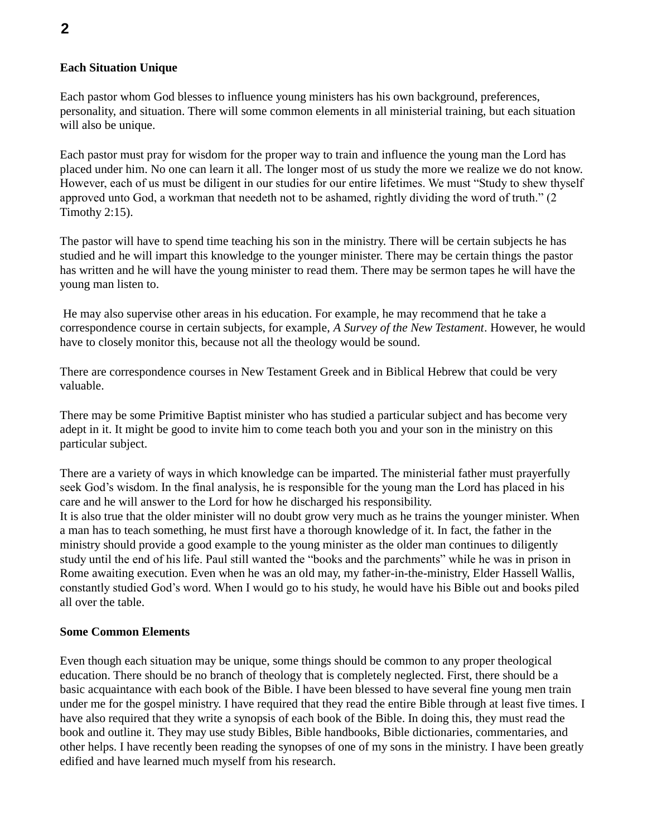# **Each Situation Unique**

Each pastor whom God blesses to influence young ministers has his own background, preferences, personality, and situation. There will some common elements in all ministerial training, but each situation will also be unique.

Each pastor must pray for wisdom for the proper way to train and influence the young man the Lord has placed under him. No one can learn it all. The longer most of us study the more we realize we do not know. However, each of us must be diligent in our studies for our entire lifetimes. We must "Study to shew thyself approved unto God, a workman that needeth not to be ashamed, rightly dividing the word of truth." (2 Timothy 2:15).

The pastor will have to spend time teaching his son in the ministry. There will be certain subjects he has studied and he will impart this knowledge to the younger minister. There may be certain things the pastor has written and he will have the young minister to read them. There may be sermon tapes he will have the young man listen to.

He may also supervise other areas in his education. For example, he may recommend that he take a correspondence course in certain subjects, for example, *A Survey of the New Testament*. However, he would have to closely monitor this, because not all the theology would be sound.

There are correspondence courses in New Testament Greek and in Biblical Hebrew that could be very valuable.

There may be some Primitive Baptist minister who has studied a particular subject and has become very adept in it. It might be good to invite him to come teach both you and your son in the ministry on this particular subject.

There are a variety of ways in which knowledge can be imparted. The ministerial father must prayerfully seek God's wisdom. In the final analysis, he is responsible for the young man the Lord has placed in his care and he will answer to the Lord for how he discharged his responsibility. It is also true that the older minister will no doubt grow very much as he trains the younger minister. When a man has to teach something, he must first have a thorough knowledge of it. In fact, the father in the ministry should provide a good example to the young minister as the older man continues to diligently study until the end of his life. Paul still wanted the "books and the parchments" while he was in prison in Rome awaiting execution. Even when he was an old may, my father-in-the-ministry, Elder Hassell Wallis, constantly studied God's word. When I would go to his study, he would have his Bible out and books piled all over the table.

#### **Some Common Elements**

Even though each situation may be unique, some things should be common to any proper theological education. There should be no branch of theology that is completely neglected. First, there should be a basic acquaintance with each book of the Bible. I have been blessed to have several fine young men train under me for the gospel ministry. I have required that they read the entire Bible through at least five times. I have also required that they write a synopsis of each book of the Bible. In doing this, they must read the book and outline it. They may use study Bibles, Bible handbooks, Bible dictionaries, commentaries, and other helps. I have recently been reading the synopses of one of my sons in the ministry. I have been greatly edified and have learned much myself from his research.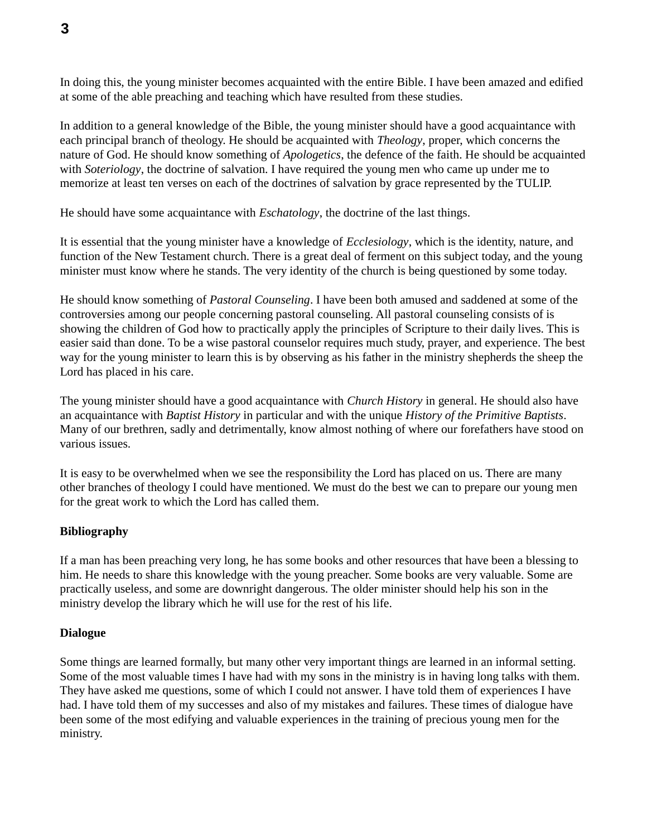In doing this, the young minister becomes acquainted with the entire Bible. I have been amazed and edified at some of the able preaching and teaching which have resulted from these studies.

In addition to a general knowledge of the Bible, the young minister should have a good acquaintance with each principal branch of theology. He should be acquainted with *Theology*, proper, which concerns the nature of God. He should know something of *Apologetics*, the defence of the faith. He should be acquainted with *Soteriology*, the doctrine of salvation. I have required the young men who came up under me to memorize at least ten verses on each of the doctrines of salvation by grace represented by the TULIP.

He should have some acquaintance with *Eschatology*, the doctrine of the last things.

It is essential that the young minister have a knowledge of *Ecclesiology*, which is the identity, nature, and function of the New Testament church. There is a great deal of ferment on this subject today, and the young minister must know where he stands. The very identity of the church is being questioned by some today.

He should know something of *Pastoral Counseling*. I have been both amused and saddened at some of the controversies among our people concerning pastoral counseling. All pastoral counseling consists of is showing the children of God how to practically apply the principles of Scripture to their daily lives. This is easier said than done. To be a wise pastoral counselor requires much study, prayer, and experience. The best way for the young minister to learn this is by observing as his father in the ministry shepherds the sheep the Lord has placed in his care.

The young minister should have a good acquaintance with *Church History* in general. He should also have an acquaintance with *Baptist History* in particular and with the unique *History of the Primitive Baptists*. Many of our brethren, sadly and detrimentally, know almost nothing of where our forefathers have stood on various issues.

It is easy to be overwhelmed when we see the responsibility the Lord has placed on us. There are many other branches of theology I could have mentioned. We must do the best we can to prepare our young men for the great work to which the Lord has called them.

# **Bibliography**

If a man has been preaching very long, he has some books and other resources that have been a blessing to him. He needs to share this knowledge with the young preacher. Some books are very valuable. Some are practically useless, and some are downright dangerous. The older minister should help his son in the ministry develop the library which he will use for the rest of his life.

### **Dialogue**

Some things are learned formally, but many other very important things are learned in an informal setting. Some of the most valuable times I have had with my sons in the ministry is in having long talks with them. They have asked me questions, some of which I could not answer. I have told them of experiences I have had. I have told them of my successes and also of my mistakes and failures. These times of dialogue have been some of the most edifying and valuable experiences in the training of precious young men for the ministry.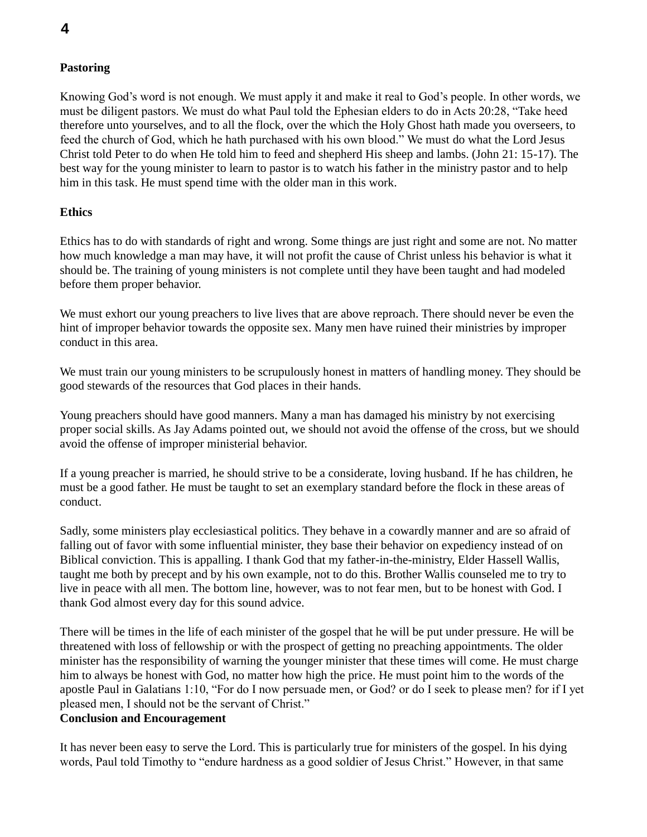# **Pastoring**

Knowing God's word is not enough. We must apply it and make it real to God's people. In other words, we must be diligent pastors. We must do what Paul told the Ephesian elders to do in Acts 20:28, "Take heed therefore unto yourselves, and to all the flock, over the which the Holy Ghost hath made you overseers, to feed the church of God, which he hath purchased with his own blood." We must do what the Lord Jesus Christ told Peter to do when He told him to feed and shepherd His sheep and lambs. (John 21: 15-17). The best way for the young minister to learn to pastor is to watch his father in the ministry pastor and to help him in this task. He must spend time with the older man in this work.

# **Ethics**

Ethics has to do with standards of right and wrong. Some things are just right and some are not. No matter how much knowledge a man may have, it will not profit the cause of Christ unless his behavior is what it should be. The training of young ministers is not complete until they have been taught and had modeled before them proper behavior.

We must exhort our young preachers to live lives that are above reproach. There should never be even the hint of improper behavior towards the opposite sex. Many men have ruined their ministries by improper conduct in this area.

We must train our young ministers to be scrupulously honest in matters of handling money. They should be good stewards of the resources that God places in their hands.

Young preachers should have good manners. Many a man has damaged his ministry by not exercising proper social skills. As Jay Adams pointed out, we should not avoid the offense of the cross, but we should avoid the offense of improper ministerial behavior.

If a young preacher is married, he should strive to be a considerate, loving husband. If he has children, he must be a good father. He must be taught to set an exemplary standard before the flock in these areas of conduct.

Sadly, some ministers play ecclesiastical politics. They behave in a cowardly manner and are so afraid of falling out of favor with some influential minister, they base their behavior on expediency instead of on Biblical conviction. This is appalling. I thank God that my father-in-the-ministry, Elder Hassell Wallis, taught me both by precept and by his own example, not to do this. Brother Wallis counseled me to try to live in peace with all men. The bottom line, however, was to not fear men, but to be honest with God. I thank God almost every day for this sound advice.

There will be times in the life of each minister of the gospel that he will be put under pressure. He will be threatened with loss of fellowship or with the prospect of getting no preaching appointments. The older minister has the responsibility of warning the younger minister that these times will come. He must charge him to always be honest with God, no matter how high the price. He must point him to the words of the apostle Paul in Galatians 1:10, "For do I now persuade men, or God? or do I seek to please men? for if I yet pleased men, I should not be the servant of Christ."

### **Conclusion and Encouragement**

It has never been easy to serve the Lord. This is particularly true for ministers of the gospel. In his dying words, Paul told Timothy to "endure hardness as a good soldier of Jesus Christ." However, in that same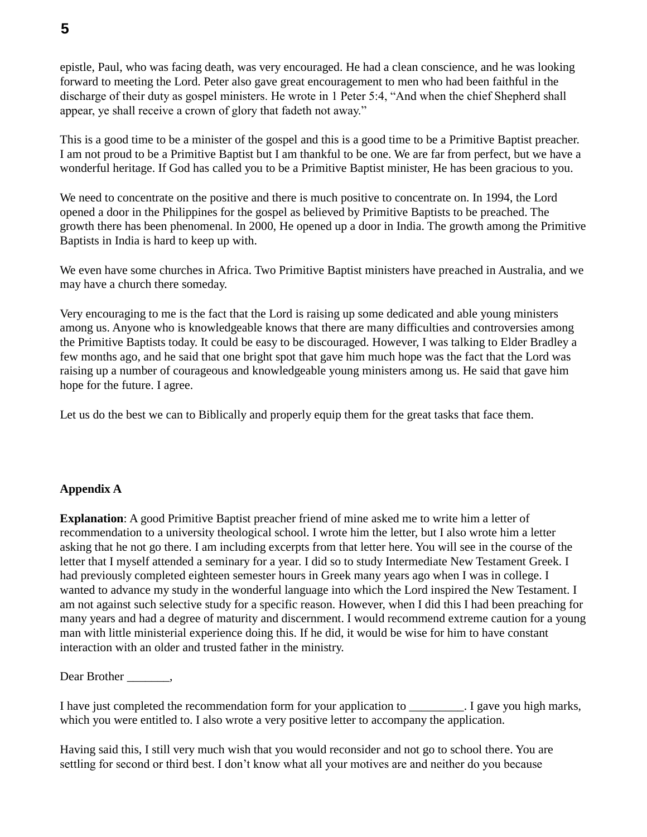epistle, Paul, who was facing death, was very encouraged. He had a clean conscience, and he was looking forward to meeting the Lord. Peter also gave great encouragement to men who had been faithful in the discharge of their duty as gospel ministers. He wrote in 1 Peter 5:4, "And when the chief Shepherd shall appear, ye shall receive a crown of glory that fadeth not away."

This is a good time to be a minister of the gospel and this is a good time to be a Primitive Baptist preacher. I am not proud to be a Primitive Baptist but I am thankful to be one. We are far from perfect, but we have a wonderful heritage. If God has called you to be a Primitive Baptist minister, He has been gracious to you.

We need to concentrate on the positive and there is much positive to concentrate on. In 1994, the Lord opened a door in the Philippines for the gospel as believed by Primitive Baptists to be preached. The growth there has been phenomenal. In 2000, He opened up a door in India. The growth among the Primitive Baptists in India is hard to keep up with.

We even have some churches in Africa. Two Primitive Baptist ministers have preached in Australia, and we may have a church there someday.

Very encouraging to me is the fact that the Lord is raising up some dedicated and able young ministers among us. Anyone who is knowledgeable knows that there are many difficulties and controversies among the Primitive Baptists today. It could be easy to be discouraged. However, I was talking to Elder Bradley a few months ago, and he said that one bright spot that gave him much hope was the fact that the Lord was raising up a number of courageous and knowledgeable young ministers among us. He said that gave him hope for the future. I agree.

Let us do the best we can to Biblically and properly equip them for the great tasks that face them.

### **Appendix A**

**Explanation**: A good Primitive Baptist preacher friend of mine asked me to write him a letter of recommendation to a university theological school. I wrote him the letter, but I also wrote him a letter asking that he not go there. I am including excerpts from that letter here. You will see in the course of the letter that I myself attended a seminary for a year. I did so to study Intermediate New Testament Greek. I had previously completed eighteen semester hours in Greek many years ago when I was in college. I wanted to advance my study in the wonderful language into which the Lord inspired the New Testament. I am not against such selective study for a specific reason. However, when I did this I had been preaching for many years and had a degree of maturity and discernment. I would recommend extreme caution for a young man with little ministerial experience doing this. If he did, it would be wise for him to have constant interaction with an older and trusted father in the ministry.

Dear Brother \_\_\_\_\_\_\_,

I have just completed the recommendation form for your application to \_\_\_\_\_\_\_\_\_. I gave you high marks, which you were entitled to. I also wrote a very positive letter to accompany the application.

Having said this, I still very much wish that you would reconsider and not go to school there. You are settling for second or third best. I don't know what all your motives are and neither do you because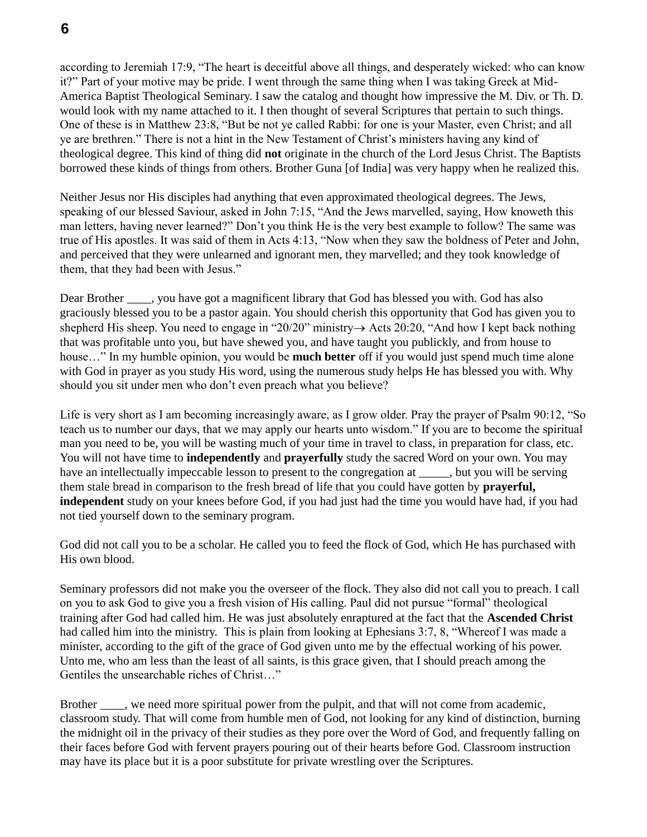**6**

according to Jeremiah 17:9, "The heart is deceitful above all things, and desperately wicked: who can know it?" Part of your motive may be pride. I went through the same thing when I was taking Greek at Mid-America Baptist Theological Seminary. I saw the catalog and thought how impressive the M. Div. or Th. D. would look with my name attached to it. I then thought of several Scriptures that pertain to such things. One of these is in Matthew 23:8, "But be not ye called Rabbi: for one is your Master, even Christ; and all ye are brethren." There is not a hint in the New Testament of Christ's ministers having any kind of theological degree. This kind of thing did **not** originate in the church of the Lord Jesus Christ. The Baptists borrowed these kinds of things from others. Brother Guna [of India] was very happy when he realized this.

Neither Jesus nor His disciples had anything that even approximated theological degrees. The Jews, speaking of our blessed Saviour, asked in John 7:15, "And the Jews marvelled, saying, How knoweth this man letters, having never learned?" Don't you think He is the very best example to follow? The same was true of His apostles. It was said of them in Acts 4:13, "Now when they saw the boldness of Peter and John, and perceived that they were unlearned and ignorant men, they marvelled; and they took knowledge of them, that they had been with Jesus."

Dear Brother , you have got a magnificent library that God has blessed you with. God has also graciously blessed you to be a pastor again. You should cherish this opportunity that God has given you to shepherd His sheep. You need to engage in "20/20" ministry  $\rightarrow$  Acts 20:20, "And how I kept back nothing that was profitable unto you, but have shewed you, and have taught you publickly, and from house to house…" In my humble opinion, you would be **much better** off if you would just spend much time alone with God in prayer as you study His word, using the numerous study helps He has blessed you with. Why should you sit under men who don't even preach what you believe?

Life is very short as I am becoming increasingly aware, as I grow older. Pray the prayer of Psalm 90:12, "So teach us to number our days, that we may apply our hearts unto wisdom." If you are to become the spiritual man you need to be, you will be wasting much of your time in travel to class, in preparation for class, etc. You will not have time to **independently** and **prayerfully** study the sacred Word on your own. You may have an intellectually impeccable lesson to present to the congregation at  $\qquad \qquad$ , but you will be serving them stale bread in comparison to the fresh bread of life that you could have gotten by **prayerful, independent** study on your knees before God, if you had just had the time you would have had, if you had not tied yourself down to the seminary program.

God did not call you to be a scholar. He called you to feed the flock of God, which He has purchased with His own blood.

Seminary professors did not make you the overseer of the flock. They also did not call you to preach. I call on you to ask God to give you a fresh vision of His calling. Paul did not pursue "formal" theological training after God had called him. He was just absolutely enraptured at the fact that the **Ascended Christ** had called him into the ministry. This is plain from looking at Ephesians 3:7, 8, "Whereof I was made a minister, according to the gift of the grace of God given unto me by the effectual working of his power. Unto me, who am less than the least of all saints, is this grace given, that I should preach among the Gentiles the unsearchable riches of Christ…"

Brother \_\_\_\_, we need more spiritual power from the pulpit, and that will not come from academic, classroom study. That will come from humble men of God, not looking for any kind of distinction, burning the midnight oil in the privacy of their studies as they pore over the Word of God, and frequently falling on their faces before God with fervent prayers pouring out of their hearts before God. Classroom instruction may have its place but it is a poor substitute for private wrestling over the Scriptures.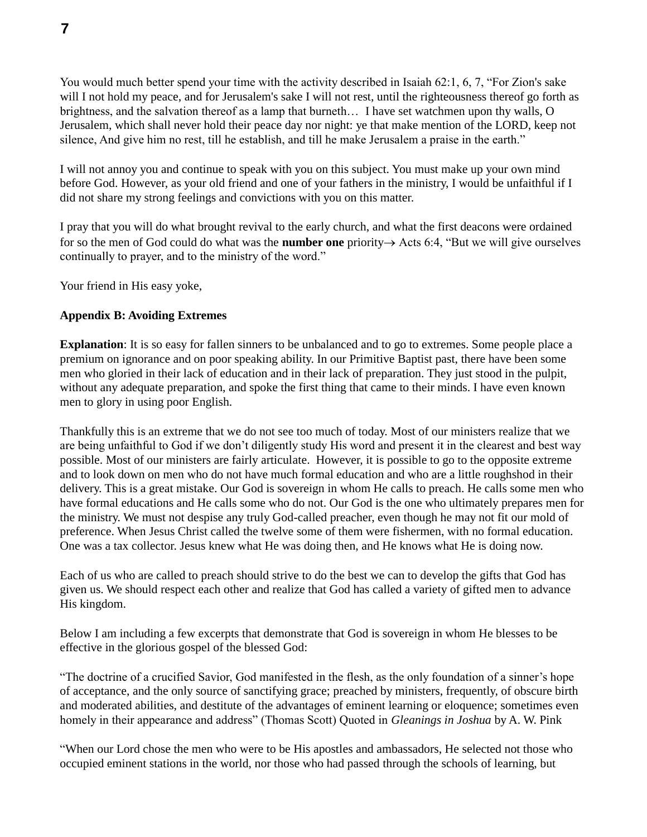You would much better spend your time with the activity described in Isaiah 62:1, 6, 7, "For Zion's sake will I not hold my peace, and for Jerusalem's sake I will not rest, until the righteousness thereof go forth as brightness, and the salvation thereof as a lamp that burneth… I have set watchmen upon thy walls, O Jerusalem, which shall never hold their peace day nor night: ye that make mention of the LORD, keep not silence, And give him no rest, till he establish, and till he make Jerusalem a praise in the earth."

I will not annoy you and continue to speak with you on this subject. You must make up your own mind before God. However, as your old friend and one of your fathers in the ministry, I would be unfaithful if I did not share my strong feelings and convictions with you on this matter.

I pray that you will do what brought revival to the early church, and what the first deacons were ordained for so the men of God could do what was the **number one** priority  $\rightarrow$  Acts 6:4, "But we will give ourselves" continually to prayer, and to the ministry of the word."

Your friend in His easy yoke,

### **Appendix B: Avoiding Extremes**

**Explanation**: It is so easy for fallen sinners to be unbalanced and to go to extremes. Some people place a premium on ignorance and on poor speaking ability. In our Primitive Baptist past, there have been some men who gloried in their lack of education and in their lack of preparation. They just stood in the pulpit, without any adequate preparation, and spoke the first thing that came to their minds. I have even known men to glory in using poor English.

Thankfully this is an extreme that we do not see too much of today. Most of our ministers realize that we are being unfaithful to God if we don't diligently study His word and present it in the clearest and best way possible. Most of our ministers are fairly articulate. However, it is possible to go to the opposite extreme and to look down on men who do not have much formal education and who are a little roughshod in their delivery. This is a great mistake. Our God is sovereign in whom He calls to preach. He calls some men who have formal educations and He calls some who do not. Our God is the one who ultimately prepares men for the ministry. We must not despise any truly God-called preacher, even though he may not fit our mold of preference. When Jesus Christ called the twelve some of them were fishermen, with no formal education. One was a tax collector. Jesus knew what He was doing then, and He knows what He is doing now.

Each of us who are called to preach should strive to do the best we can to develop the gifts that God has given us. We should respect each other and realize that God has called a variety of gifted men to advance His kingdom.

Below I am including a few excerpts that demonstrate that God is sovereign in whom He blesses to be effective in the glorious gospel of the blessed God:

"The doctrine of a crucified Savior, God manifested in the flesh, as the only foundation of a sinner's hope of acceptance, and the only source of sanctifying grace; preached by ministers, frequently, of obscure birth and moderated abilities, and destitute of the advantages of eminent learning or eloquence; sometimes even homely in their appearance and address" (Thomas Scott) Quoted in *Gleanings in Joshua* by A. W. Pink

"When our Lord chose the men who were to be His apostles and ambassadors, He selected not those who occupied eminent stations in the world, nor those who had passed through the schools of learning, but